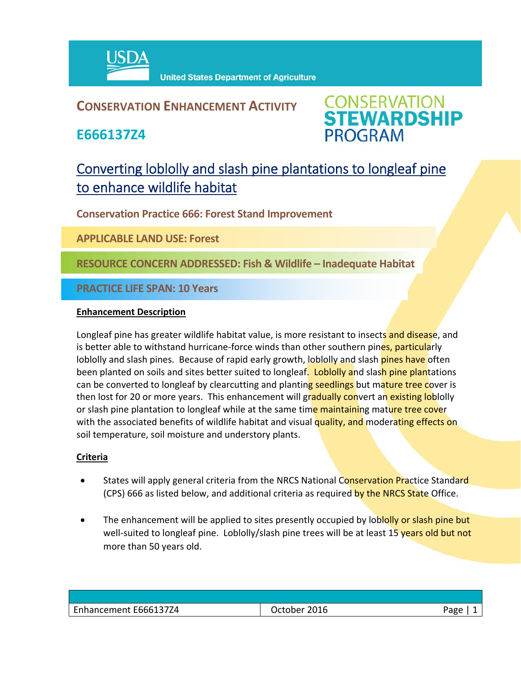

## **CONSERVATION ENHANCEMENT ACTIVITY**

**E666137Z4**



# Converting loblolly and slash pine plantations to longleaf pine to enhance wildlife habitat

**Conservation Practice 666: Forest Stand Improvement** 

**APPLICABLE LAND USE: Forest**

**RESOURCE CONCERN ADDRESSED: Fish & Wildlife – Inadequate Habitat**

**PRACTICE LIFE SPAN: 10 Years**

#### **Enhancement Description**

Longleaf pine has greater wildlife habitat value, is more resistant to insects and disease, and is better able to withstand hurricane-force winds than other southern pines, particularly loblolly and slash pines. Because of rapid early growth, loblolly and slash *pines have* often been planted on soils and sites better suited to longleaf. Loblolly and slash pine plantations can be converted to longleaf by clearcutting and planting seedlings but mature tree cover is then lost for 20 or more years. This enhancement will gradually convert an existing loblolly or slash pine plantation to longleaf while at the same time maintaining mature tree cover with the associated benefits of wildlife habitat and visual quality, and moderating effects on soil temperature, soil moisture and understory plants.

### **Criteria**

- States will apply general criteria from the NRCS National Conservation Practice Standard (CPS) 666 as listed below, and additional criteria as required by the NRCS State Office.
- The enhancement will be applied to sites presently occupied by loblolly or slash pine but well-suited to longleaf pine. Loblolly/slash pine trees will be at least 15 years old but not more than 50 years old.

| Enhancement E666137Z4 | 2016<br>October | Page |
|-----------------------|-----------------|------|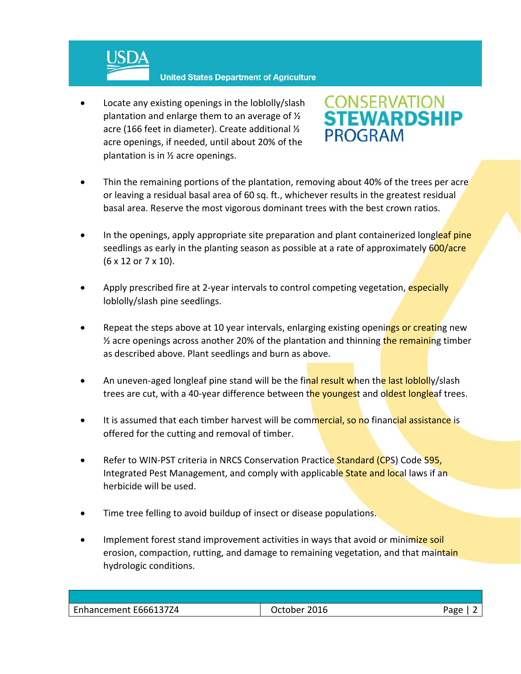

 Locate any existing openings in the loblolly/slash plantation and enlarge them to an average of ½ acre (166 feet in diameter). Create additional ½ acre openings, if needed, until about 20% of the plantation is in ½ acre openings.



- Thin the remaining portions of the plantation, removing about 40% of the trees per acre or leaving a residual basal area of 60 sq. ft., whichever results in the greatest residual basal area. Reserve the most vigorous dominant trees with the best crown ratios.
- In the openings, apply appropriate site preparation and plant containerized longleaf pine seedlings as early in the planting season as possible at a rate of approximately 600/acre (6 x 12 or 7 x 10).
- Apply prescribed fire at 2-year intervals to control competing vegetation, especially loblolly/slash pine seedlings.
- Repeat the steps above at 10 year intervals, enlarging existing openings or creating new  $\frac{1}{2}$  acre openings across another 20% of the plantation and thinning the remaining timber as described above. Plant seedlings and burn as above.
- An uneven-aged longleaf pine stand will be the final result when the last loblolly/slash trees are cut, with a 40-year difference between the youngest and oldest longleaf trees.
- It is assumed that each timber harvest will be commercial, so no financial assistance is offered for the cutting and removal of timber.
- Refer to WIN-PST criteria in NRCS Conservation Practice Standard (CPS) Code 595, Integrated Pest Management, and comply with applicable State and local laws if an herbicide will be used.
- Time tree felling to avoid buildup of insect or disease populations.
- Implement forest stand improvement activities in ways that avoid or minimize soil erosion, compaction, rutting, and damage to remaining vegetation, and that maintain hydrologic conditions.

| Enhancement E666137Z4 | 2016<br>Jctober | age |
|-----------------------|-----------------|-----|
|                       |                 |     |